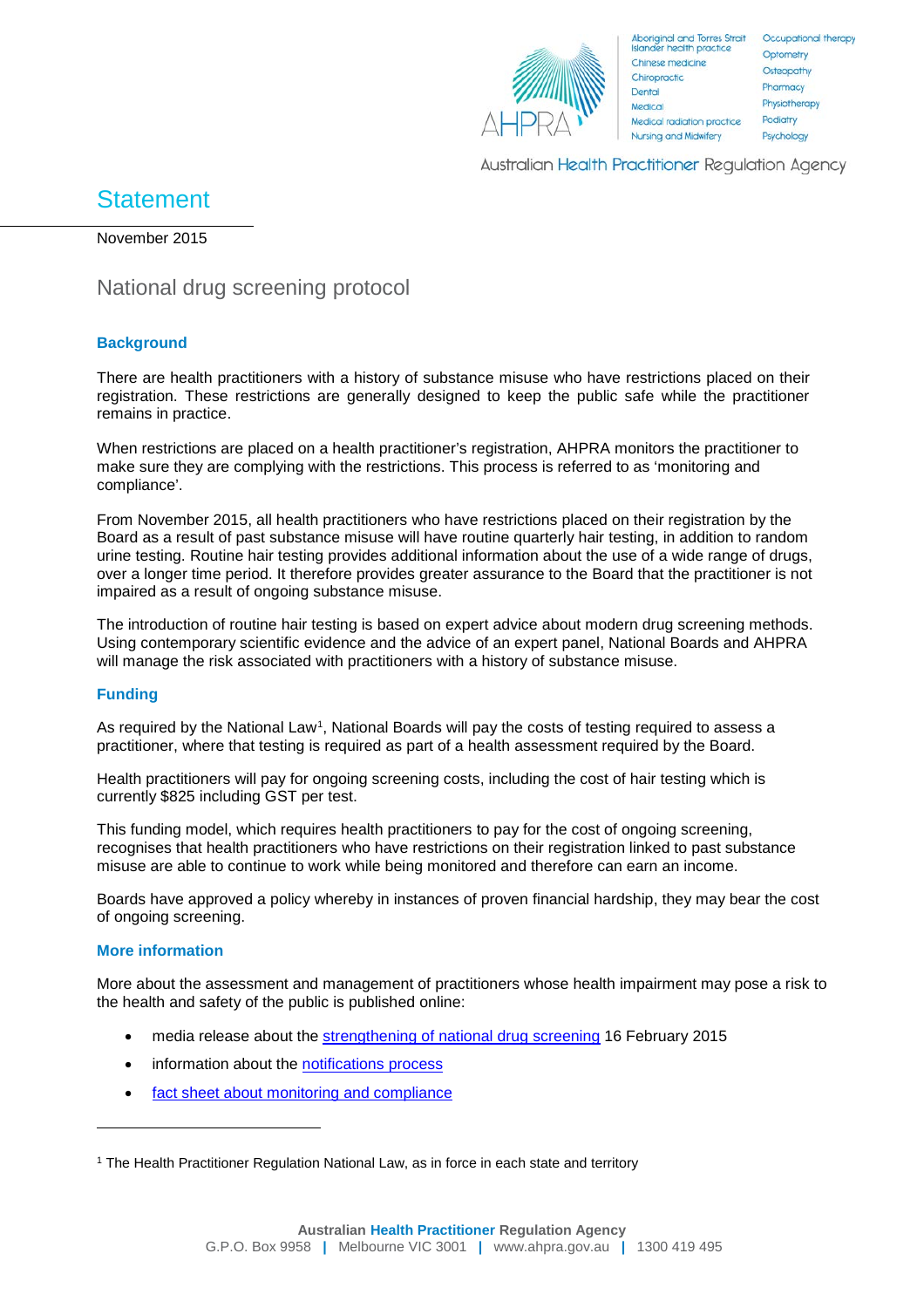

**Australian Health Practitioner Requlation Agency** 

# **Statement**

November 2015

## National drug screening protocol

### **Background**

There are health practitioners with a history of substance misuse who have restrictions placed on their registration. These restrictions are generally designed to keep the public safe while the practitioner remains in practice.

When restrictions are placed on a health practitioner's registration, AHPRA monitors the practitioner to make sure they are complying with the restrictions. This process is referred to as 'monitoring and compliance'.

From November 2015, all health practitioners who have restrictions placed on their registration by the Board as a result of past substance misuse will have routine quarterly hair testing, in addition to random urine testing. Routine hair testing provides additional information about the use of a wide range of drugs, over a longer time period. It therefore provides greater assurance to the Board that the practitioner is not impaired as a result of ongoing substance misuse.

The introduction of routine hair testing is based on expert advice about modern drug screening methods. Using contemporary scientific evidence and the advice of an expert panel, National Boards and AHPRA will manage the risk associated with practitioners with a history of substance misuse.

### **Funding**

As required by the National Law<sup>1</sup>, National Boards will pay the costs of testing required to assess a practitioner, where that testing is required as part of a health assessment required by the Board.

Health practitioners will pay for ongoing screening costs, including the cost of hair testing which is currently \$825 including GST per test.

This funding model, which requires health practitioners to pay for the cost of ongoing screening, recognises that health practitioners who have restrictions on their registration linked to past substance misuse are able to continue to work while being monitored and therefore can earn an income.

Boards have approved a policy whereby in instances of proven financial hardship, they may bear the cost of ongoing screening.

### **More information**

-

More about the assessment and management of practitioners whose health impairment may pose a risk to the health and safety of the public is published online:

- media release about the [strengthening of national drug screening](http://www.ahpra.gov.au/News/2015-02-16-AHPRA-strengthens-national-drug-screening.aspx) 16 February 2015
- information about the [notifications process](http://www.ahpra.gov.au/Notifications.aspx)
- [fact sheet about monitoring and compliance](http://www.ahpra.gov.au/Notifications/Fact-sheets/Monitoring-and-compliance.aspx)

<span id="page-0-0"></span><sup>1</sup> The Health Practitioner Regulation National Law, as in force in each state and territory